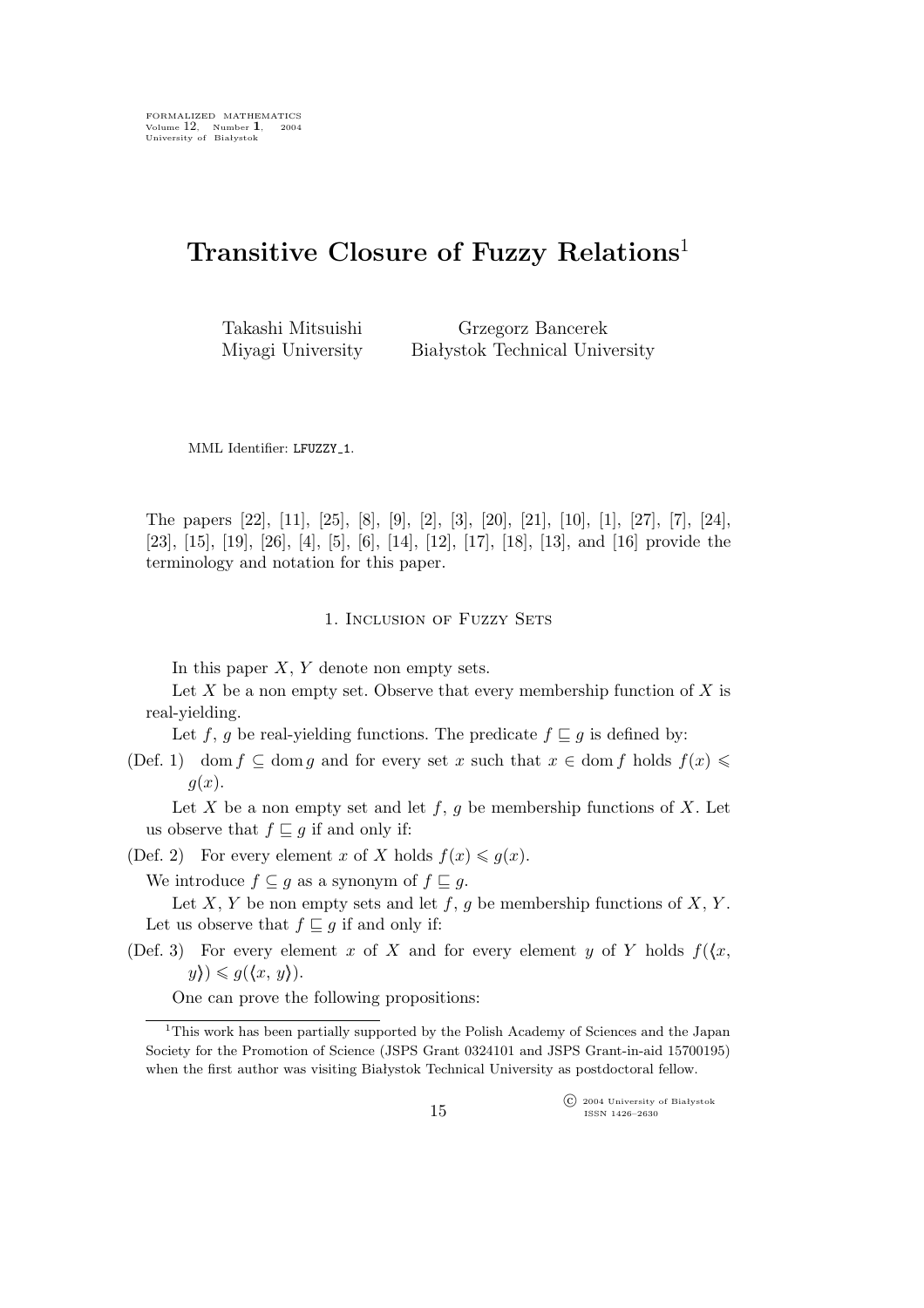# **Transitive Closure of Fuzzy Relations**<sup>1</sup>

Takashi Mitsuishi Miyagi University

Grzegorz Bancerek Białystok Technical University

MML Identifier: LFUZZY\_1.

The papers [22], [11], [25], [8], [9], [2], [3], [20], [21], [10], [1], [27], [7], [24], [23], [15], [19], [26], [4], [5], [6], [14], [12], [17], [18], [13], and [16] provide the terminology and notation for this paper.

### 1. INCLUSION OF FUZZY SETS

In this paper  $X, Y$  denote non empty sets.

Let  $X$  be a non empty set. Observe that every membership function of  $X$  is real-yielding.

Let f, g be real-yielding functions. The predicate  $f \subseteq g$  is defined by:

(Def. 1) dom  $f \subseteq \text{dom } g$  and for every set x such that  $x \in \text{dom } f$  holds  $f(x) \leq$  $g(x)$ .

Let X be a non empty set and let  $f, g$  be membership functions of X. Let us observe that  $f \subseteq g$  if and only if:

(Def. 2) For every element x of X holds  $f(x) \leq g(x)$ .

We introduce  $f \subseteq g$  as a synonym of  $f \subseteq g$ .

Let X, Y be non empty sets and let  $f, g$  be membership functions of X, Y. Let us observe that  $f \sqsubseteq g$  if and only if:

(Def. 3) For every element x of X and for every element y of Y holds  $f(x,$  $y\rangle$ *i* $\leq$  g( $\langle x, y \rangle$ ).

One can prove the following propositions:

°c 2004 University of Białystok ISSN 1426–2630

<sup>&</sup>lt;sup>1</sup>This work has been partially supported by the Polish Academy of Sciences and the Japan Society for the Promotion of Science (JSPS Grant 0324101 and JSPS Grant-in-aid 15700195) when the first author was visiting Białystok Technical University as postdoctoral fellow.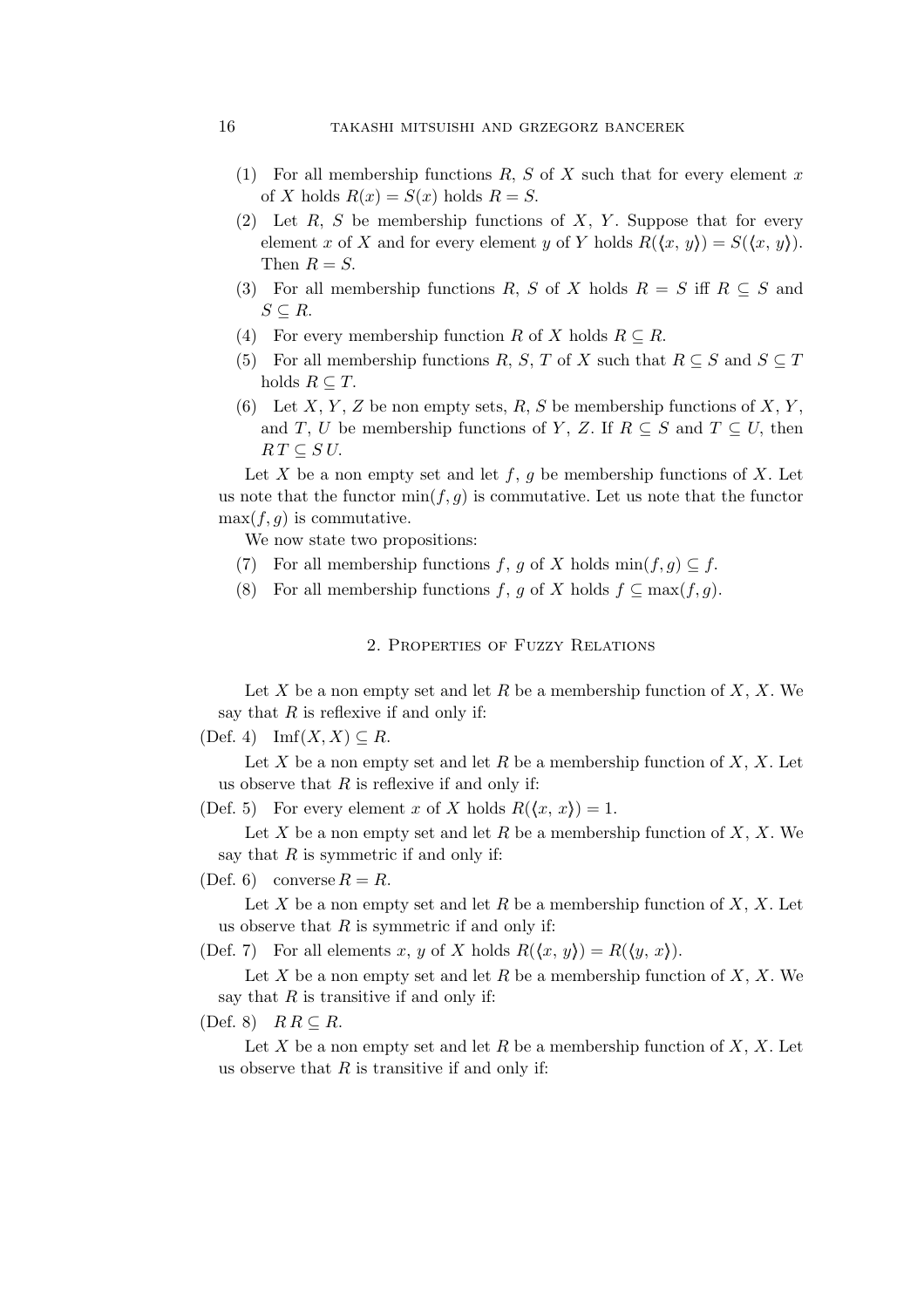## 16 takashi mitsuishi and grzegorz bancerek

- (1) For all membership functions  $R, S$  of  $X$  such that for every element x of X holds  $R(x) = S(x)$  holds  $R = S$ .
- (2) Let  $R$ ,  $S$  be membership functions of  $X$ ,  $Y$ . Suppose that for every element x of X and for every element y of Y holds  $R(\langle x, y \rangle) = S(\langle x, y \rangle)$ . Then  $R = S$ .
- (3) For all membership functions R, S of X holds  $R = S$  iff  $R \subseteq S$  and S *⊆* R.
- (4) For every membership function R of X holds  $R \subseteq R$ .
- (5) For all membership functions R, S, T of X such that  $R \subseteq S$  and  $S \subseteq T$ holds  $R \subseteq T$ .
- (6) Let X, Y, Z be non empty sets, R, S be membership functions of X, Y, and T, U be membership functions of Y, Z. If  $R \subseteq S$  and  $T \subseteq U$ , then  $RT \subseteq S U$ .

Let X be a non empty set and let  $f, g$  be membership functions of X. Let us note that the functor  $\min(f, g)$  is commutative. Let us note that the functor  $max(f,g)$  is commutative.

We now state two propositions:

- (7) For all membership functions f, g of X holds min $(f, g) \subseteq f$ .
- (8) For all membership functions f, g of X holds  $f \subseteq \max(f, g)$ .

2. Properties of Fuzzy Relations

Let  $X$  be a non empty set and let  $R$  be a membership function of  $X$ ,  $X$ . We say that  $R$  is reflexive if and only if:

(Def. 4) Imf $(X, X) \subseteq R$ .

Let X be a non empty set and let R be a membership function of  $X, X$ . Let us observe that  $R$  is reflexive if and only if:

(Def. 5) For every element x of X holds  $R(\langle x, x \rangle) = 1$ .

Let X be a non empty set and let R be a membership function of  $X, X$ . We say that  $R$  is symmetric if and only if:

(Def. 6) converse  $R = R$ .

Let X be a non empty set and let R be a membership function of  $X, X$ . Let us observe that  $R$  is symmetric if and only if:

(Def. 7) For all elements x, y of X holds  $R(\langle x, y \rangle) = R(\langle y, x \rangle)$ .

Let X be a non empty set and let R be a membership function of X, X. We say that  $R$  is transitive if and only if:

(Def. 8) R R *⊆* R.

Let X be a non empty set and let R be a membership function of  $X, X$ . Let us observe that  $R$  is transitive if and only if: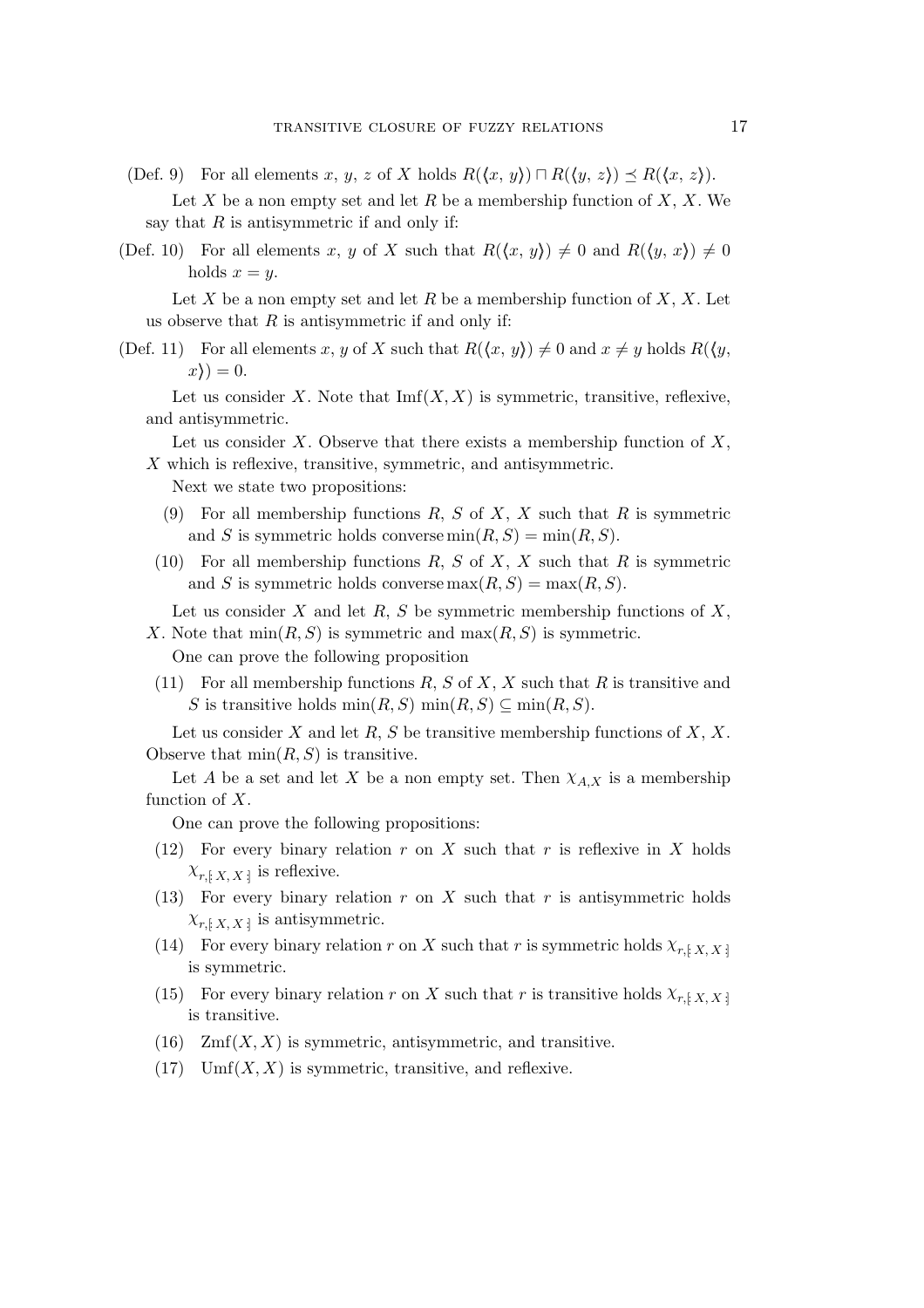- (Def. 9) For all elements x, y, z of X holds  $R(\langle x, y \rangle) \sqcap R(\langle y, z \rangle) \preceq R(\langle x, z \rangle)$ . Let X be a non empty set and let R be a membership function of X, X. We say that  $R$  is antisymmetric if and only if:
- (Def. 10) For all elements x, y of X such that  $R(\langle x, y \rangle) \neq 0$  and  $R(\langle y, x \rangle) \neq 0$ holds  $x = y$ .

Let X be a non empty set and let R be a membership function of X, X. Let us observe that  $R$  is antisymmetric if and only if:

(Def. 11) For all elements x, y of X such that  $R(\langle x, y \rangle) \neq 0$  and  $x \neq y$  holds  $R(\langle y, y \rangle)$  $x) = 0.$ 

Let us consider X. Note that  $\text{Imf}(X, X)$  is symmetric, transitive, reflexive, and antisymmetric.

Let us consider  $X$ . Observe that there exists a membership function of  $X$ , X which is reflexive, transitive, symmetric, and antisymmetric.

Next we state two propositions:

- (9) For all membership functions  $R, S$  of  $X, X$  such that  $R$  is symmetric and S is symmetric holds converse  $min(R, S) = min(R, S)$ .
- (10) For all membership functions  $R, S$  of  $X, X$  such that  $R$  is symmetric and S is symmetric holds converse  $max(R, S) = max(R, S)$ .

Let us consider  $X$  and let  $R$ ,  $S$  be symmetric membership functions of  $X$ , X. Note that  $\min(R, S)$  is symmetric and  $\max(R, S)$  is symmetric.

One can prove the following proposition

(11) For all membership functions  $R, S$  of  $X, X$  such that  $R$  is transitive and S is transitive holds  $\min(R, S)$   $\min(R, S) \subseteq \min(R, S)$ .

Let us consider X and let R, S be transitive membership functions of X, X. Observe that  $\min(R, S)$  is transitive.

Let A be a set and let X be a non empty set. Then  $\chi_{A,X}$  is a membership function of  $X$ .

One can prove the following propositions:

- (12) For every binary relation r on X such that r is reflexive in X holds  $\chi_{r, [X, X]}$  is reflexive.
- (13) For every binary relation  $r$  on  $X$  such that  $r$  is antisymmetric holds  $\chi_{r, [X, X]}$  is antisymmetric.
- (14) For every binary relation r on X such that r is symmetric holds  $\chi_{r, [X, X]}$ is symmetric.
- (15) For every binary relation r on X such that r is transitive holds  $\chi_{r, [X, X]}$ is transitive.
- (16)  $Zmf(X, X)$  is symmetric, antisymmetric, and transitive.
- (17) Umf $(X, X)$  is symmetric, transitive, and reflexive.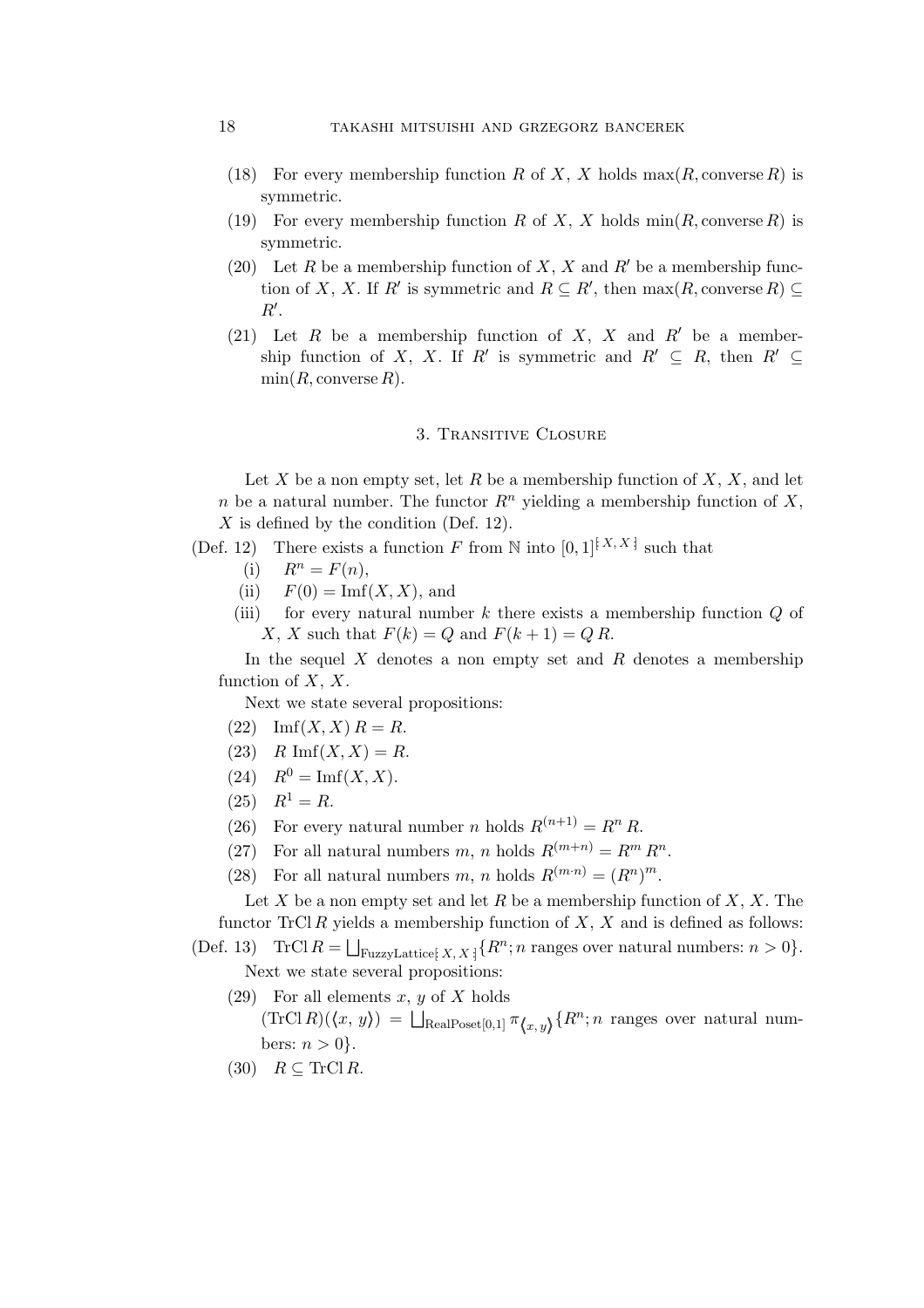### 18 takashi mitsuishi and grzegorz bancerek

- (18) For every membership function R of X, X holds  $\max(R, \text{converse } R)$  is symmetric.
- (19) For every membership function R of X, X holds  $\min(R, \text{converse } R)$  is symmetric.
- (20) Let R be a membership function of X, X and R<sup>'</sup> be a membership function of X, X. If  $R'$  is symmetric and  $R \subseteq R'$ , then  $\max(R, \text{converse } R) \subseteq$ R*′* .
- (21) Let R be a membership function of X, X and R*′* be a membership function of X, X. If R' is symmetric and  $R' \subseteq R$ , then  $R' \subseteq$  $min(R, \text{converse } R)$ .

#### 3. Transitive Closure

Let X be a non empty set, let R be a membership function of  $X, X$ , and let n be a natural number. The functor  $R^n$  yielding a membership function of X,  $X$  is defined by the condition (Def. 12).

(Def. 12) There exists a function F from N into  $[0,1]^{[X,X]}$  such that

- (i)  $R^n = F(n)$ ,
- (ii)  $F(0) = \text{Im}f(X, X)$ , and
- (iii) for every natural number k there exists a membership function  $Q$  of X, X such that  $F(k) = Q$  and  $F(k + 1) = Q R$ .

In the sequel  $X$  denotes a non empty set and  $R$  denotes a membership function of  $X, X$ .

Next we state several propositions:

- (22)  $\text{Imf}(X, X) R = R.$
- (23)  $R \text{Imf}(X, X) = R$ .
- (24)  $R^0 = \text{Imf}(X, X)$ .
- $(25)$   $R^1 = R$ .
- (26) For every natural number *n* holds  $R^{(n+1)} = R^n R$ .
- (27) For all natural numbers m, n holds  $R^{(m+n)} = R^m R^n$ .
- (28) For all natural numbers m, n holds  $R^{(m\cdot n)} = (R^n)^m$ .

Let  $X$  be a non empty set and let  $R$  be a membership function of  $X, X$ . The functor TrCl R yields a membership function of  $X$ ,  $X$  and is defined as follows:

(Def. 13) TrCl  $R = \bigsqcup_{\text{FuzzyLattice} \{X, X\}} \{R^n; n \text{ ranges over natural numbers: } n > 0\}.$ Next we state several propositions:

- (29) For all elements x, y of X holds  $(\text{TrCl }R)(\langle x, y \rangle) = \bigsqcup_{\text{RealPoset}[0,1]} \pi_{\langle x, y \rangle} \{R^n; n \text{ ranges over natural num-} \}$ bers:  $n > 0$ .
- $(30)$   $R \subseteq \text{TrCl } R$ .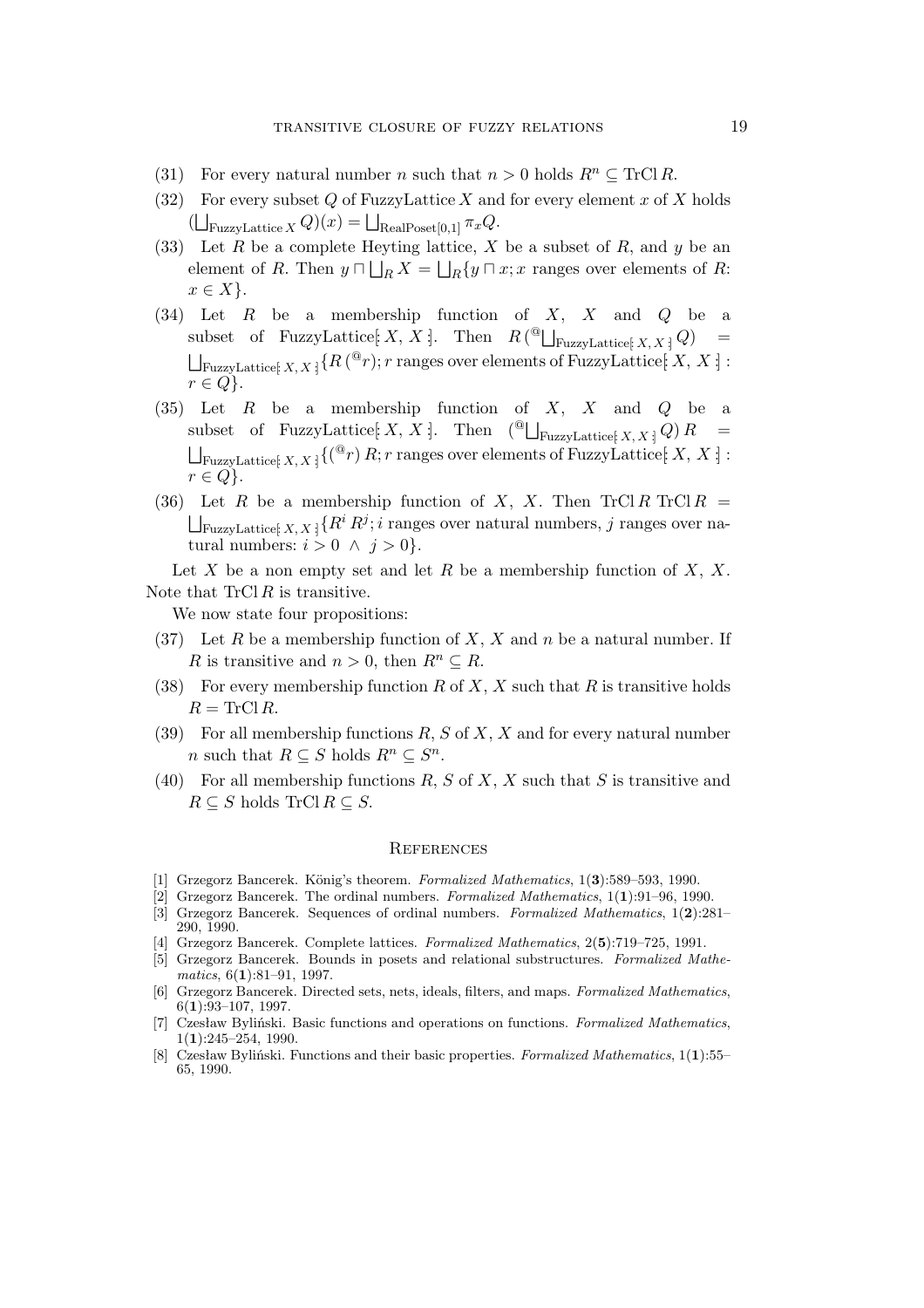- (31) For every natural number *n* such that  $n > 0$  holds  $R^n \subseteq \text{Tr} \text{Cl } R$ .
- (32) For every subset Q of FuzzyLattice X and for every element x of X holds  $(\bigsqcup_{\text{FuzzyLattice } X} Q)(x) = \bigsqcup_{\text{RealPoset}[0,1]} \pi_x Q.$
- (33) Let R be a complete Heyting lattice, X be a subset of R, and y be an element of R. Then  $y \sqcap \bigsqcup_R X = \bigsqcup_R \{y \sqcap x; x \text{ ranges over elements of } R:$  $x \in X$  }.
- (34) Let R be a membership function of X, X and Q be a subset of FuzzyLattice $[X, X]$ . Then  $R$  ( $\supseteq$  FuzzyLattice $[X, X]$  Q) =  $\bigsqcup_{\text{FuzzyLattice}[\;X,X\,]}\{R\,({}^{\textcircled{e}}r); r\text{ ranges over elements of FuzzyLattice}[\;X,X\,]:$  $r \in Q$ .
- (35) Let R be a membership function of X, X and Q be a subset of FuzzyLattice $[X, X]$ . Then  $(\bigcup_{\text{FuzzyLattice}\{X, X\}} Q)R =$  $\bigsqcup_{\text{FuzzyLattice}[\;X,\,X\,]}\{({}^@r)\,R;\,r\;\text{ranges over elements of FuzzyLattice}[\;X,\,X\,]\,:\,\,$  $r \in Q$ .
- (36) Let R be a membership function of X, X. Then TrCl R TrCl R =  $\bigsqcup_{\text{FuzzyLattice}[} X, X] \{R^i R^j; i \text{ ranges over natural numbers}, j \text{ ranges over na-} \}$ tural numbers:  $i > 0 \land j > 0$ .

Let X be a non empty set and let R be a membership function of  $X, X$ . Note that  $TrCl R$  is transitive.

We now state four propositions:

- (37) Let R be a membership function of X, X and n be a natural number. If R is transitive and  $n > 0$ , then  $R^n \subseteq R$ .
- (38) For every membership function R of X, X such that R is transitive holds  $R = TrCl R$ .
- (39) For all membership functions  $R, S$  of  $X, X$  and for every natural number *n* such that  $R \subseteq S$  holds  $R^n \subseteq S^n$ .
- (40) For all membership functions  $R, S$  of  $X, X$  such that  $S$  is transitive and  $R \subseteq S$  holds  $\text{Tr} \text{Cl} R \subseteq S$ .

#### **REFERENCES**

- [1] Grzegorz Bancerek. König's theorem. *Formalized Mathematics*, 1(3):589–593, 1990.
- [2] Grzegorz Bancerek. The ordinal numbers. *Formalized Mathematics*, 1(**1**):91–96, 1990.
- [3] Grzegorz Bancerek. Sequences of ordinal numbers. *Formalized Mathematics*, 1(**2**):281– 290, 1990.
- [4] Grzegorz Bancerek. Complete lattices. *Formalized Mathematics*, 2(**5**):719–725, 1991.
- [5] Grzegorz Bancerek. Bounds in posets and relational substructures. *Formalized Mathematics*, 6(**1**):81–91, 1997.
- [6] Grzegorz Bancerek. Directed sets, nets, ideals, filters, and maps. *Formalized Mathematics*, 6(**1**):93–107, 1997.
- [7] Czesław Byliński. Basic functions and operations on functions. *Formalized Mathematics*, 1(**1**):245–254, 1990.
- [8] Czesław Byliński. Functions and their basic properties. *Formalized Mathematics*, 1(**1**):55– 65, 1990.